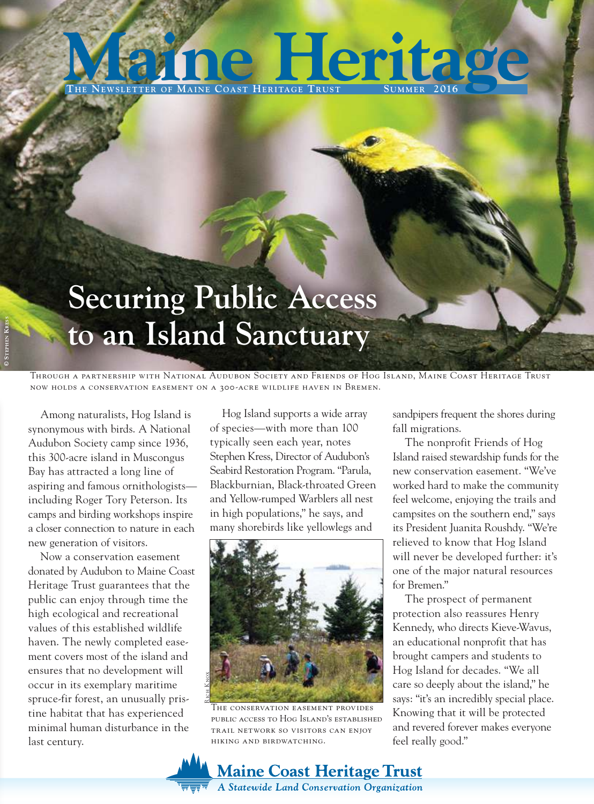### $T$ **HE NEWSLETTER** OF **MAINE** COAST HERITAGE **Herita**

## **Securing Public Access to an Island Sanctuary**

Through a partnership with National Audubon Society and Friends of Hog Island, Maine Coast Heritage now holds a conservation easement on a 300-acre wildlife haven in Bremen.

Among naturalists, Hog Island is synonymous with birds. A National Audubon Society camp since 1936, this 300-acre island in Muscongus Bay has attracted a long line of aspiring and famous ornithologists including Roger Tory Peterson. Its camps and birding workshops inspire a closer connection to nature in each new generation of visitors.

Now a conservation easement donated by Audubon to Maine Coast Heritage Trust guarantees that the public can enjoy through time the high ecological and recreational values of this established wildlife haven. The newly completed easement covers most of the island and ensures that no development will occur in its exemplary maritime spruce-fir forest, an unusually pristine habitat that has experienced minimal human disturbance in the last century.

Hog Island supports a wide array of species—with more than 100 typically seen each year, notes Stephen Kress, Director of Audubon's Seabird Restoration Program. "Parula, Blackburnian, Black-throated Green and Yellow-rumped Warblers all nest in high populations," he says, and many shorebirds like yellowlegs and



The conservation easement provides public access to Hog Island's established trail network so visitors can enjoy hiking and birdwatching.

**Maine Coast Heritage Trust** A Statewide Land Conservation Organization

sandpipers frequent the shores during fall migrations.

The nonprofit Friends of Hog Island raised stewardship funds for the new conservation easement. "We've worked hard to make the community feel welcome, enjoying the trails and campsites on the southern end," says its President Juanita Roushdy. "We're relieved to know that Hog Island will never be developed further: it's one of the major natural resources for Bremen."

The prospect of permanent protection also reassures Henry Kennedy, who directs Kieve-Wavus, an educational nonprofit that has brought campers and students to Hog Island for decades. "We all care so deeply about the island," he says: "it's an incredibly special place. Knowing that it will be protected and revered forever makes everyone feel really good."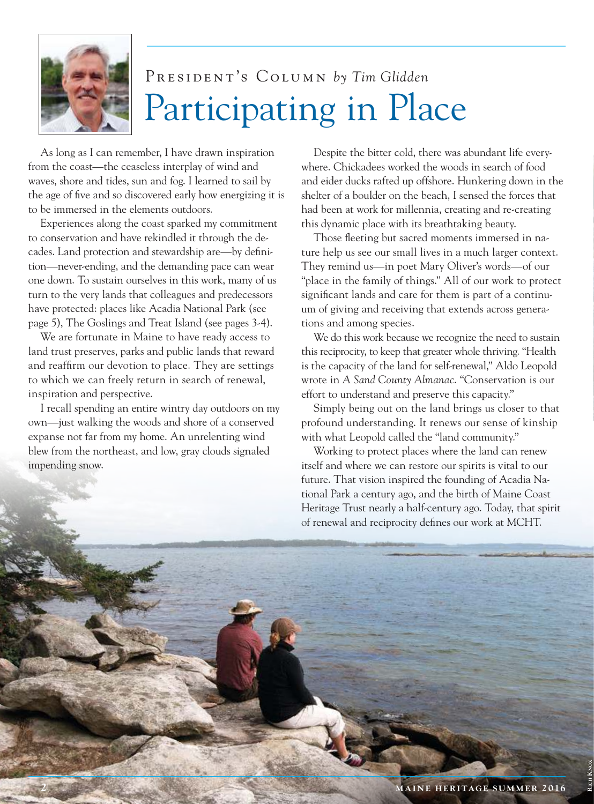

### President's Column *by Tim Glidden* Participating in Place

As long as I can remember, I have drawn inspiration from the coast—the ceaseless interplay of wind and waves, shore and tides, sun and fog. I learned to sail by the age of five and so discovered early how energizing it is to be immersed in the elements outdoors.

Experiences along the coast sparked my commitment to conservation and have rekindled it through the decades. Land protection and stewardship are—by definition—never-ending, and the demanding pace can wear one down. To sustain ourselves in this work, many of us turn to the very lands that colleagues and predecessors have protected: places like Acadia National Park (see page 5), The Goslings and Treat Island (see pages 3-4).

We are fortunate in Maine to have ready access to land trust preserves, parks and public lands that reward and reaffirm our devotion to place. They are settings to which we can freely return in search of renewal, inspiration and perspective.

I recall spending an entire wintry day outdoors on my own—just walking the woods and shore of a conserved expanse not far from my home. An unrelenting wind blew from the northeast, and low, gray clouds signaled impending snow.

Despite the bitter cold, there was abundant life everywhere. Chickadees worked the woods in search of food and eider ducks rafted up offshore. Hunkering down in the shelter of a boulder on the beach, I sensed the forces that had been at work for millennia, creating and re-creating this dynamic place with its breathtaking beauty.

Those fleeting but sacred moments immersed in na ture help us see our small lives in a much larger context. They remind us—in poet Mary Oliver's words—of our "place in the family of things." All of our work to protect significant lands and care for them is part of a continu um of giving and receiving that extends across genera tions and among species.

We do this work because we recognize the need to sustain this reciprocity, to keep that greater whole thriving. "Health is the capacity of the land for self-renewal," Aldo Leopold wrote in *A Sand County Almanac*. "Conservation is our effort to understand and preserve this capacity."

Simply being out on the land brings us closer to that profound understanding. It renews our sense of kinship with what Leopold called the "land community."

Working to protect places where the land can renew itself and where we can restore our spirits is vital to our future. That vision inspired the founding of Acadia National Park a century ago, and the birth of Maine Coast Heritage Trust nearly a half-century ago. Today, that spirit of renewal and reciprocity defines our work at MCHT.

**RICH KNOX**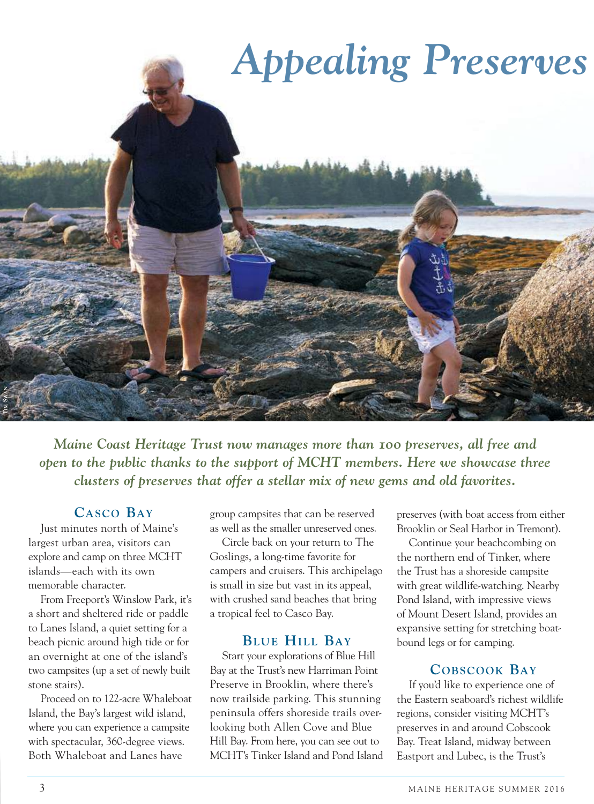

*Maine Coast Heritage Trust now manages more than 100 preserves, all free and open to the public thanks to the support of MCHT members. Here we showcase three clusters of preserves that offer a stellar mix of new gems and old favorites.*

### **CASCO BAY**

Just minutes north of Maine's largest urban area, visitors can explore and camp on three MCHT islands—each with its own memorable character.

From Freeport's Winslow Park, it's a short and sheltered ride or paddle to Lanes Island, a quiet setting for a beach picnic around high tide or for an overnight at one of the island's two campsites (up a set of newly built stone stairs).

Proceed on to 122-acre Whaleboat Island, the Bay's largest wild island, where you can experience a campsite with spectacular, 360-degree views. Both Whaleboat and Lanes have

group campsites that can be reserved as well as the smaller unreserved ones.

Circle back on your return to The Goslings, a long-time favorite for campers and cruisers. This archipelago is small in size but vast in its appeal, with crushed sand beaches that bring a tropical feel to Casco Bay.

#### **BLU E HILL BAY**

Start your explorations of Blue Hill Bay at the Trust's new Harriman Point Preserve in Brooklin, where there's now trailside parking. This stunning peninsula offers shoreside trails overlooking both Allen Cove and Blue Hill Bay. From here, you can see out to MCHT's Tinker Island and Pond Island preserves (with boat access from either Brooklin or Seal Harbor in Tremont).

Continue your beachcombing on the northern end of Tinker, where the Trust has a shoreside campsite with great wildlife-watching. Nearby Pond Island, with impressive views of Mount Desert Island, provides an expansive setting for stretching boatbound legs or for camping.

#### **COBSCOOK BAY**

If you'd like to experience one of the Eastern seaboard's richest wildlife regions, consider visiting MCHT's preserves in and around Cobscook Bay. Treat Island, midway between Eastport and Lubec, is the Trust's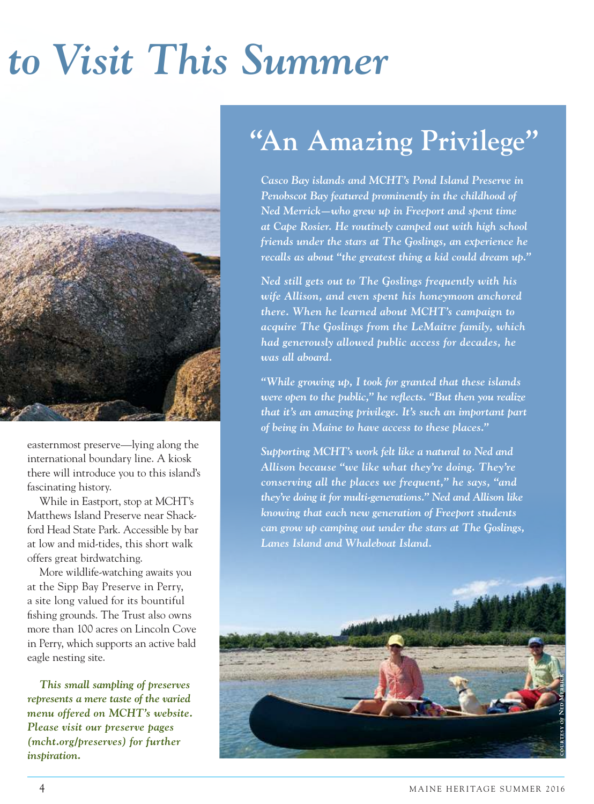# to Visit This Summer



easternmost preserve—lying along the international boundary line. A kiosk there will introduce you to this island's fascinating history.

While in Eastport, stop at MCHT's Matthews Island Preserve near Shackford Head State Park. Accessible by bar at low and mid-tides, this short walk offers great birdwatching.

More wildlife-watching awaits you at the Sipp Bay Preserve in Perry, a site long valued for its bountiful fishing grounds. The Trust also owns more than 100 acres on Lincoln Cove in Perry, which supports an active bald eagle nesting site.

*This small sampling of preserves represents a mere taste of the varied menu offered on MCHT's website. Please visit our preserve pages (mcht.org/preserves) for further inspiration.*

### **"An Amazing Privilege"**

*Casco Bay islands and MCHT's Pond Island Preserve in Penobscot Bay featured prominently in the childhood of Ned Merrick—who grew up in Freeport and spent time at Cape Rosier. He routinely camped out with high school friends under the stars at The Goslings, an experience he recalls as about "the greatest thing a kid could dream up."*

*Ned still gets out to The Goslings frequently with his wife Allison, and even spent his honeymoon anchored there. When he learned about MCHT's campaign to acquire The Goslings from the LeMaitre family, which had generously allowed public access for decades, he was all aboard.* 

*"While growing up, I took for granted that these islands were open to the public," he reflects. "But then you realize that it's an amazing privilege. It's such an important part of being in Maine to have access to these places."*

*Supporting MCHT's work felt like a natural to Ned and Allison because "we like what they're doing. They're conserving all the places we frequent," he says, "and they're doing it for multi-generations." Ned and Allison like knowing that each new generation of Freeport students can grow up camping out under the stars at The Goslings, Lanes Island and Whaleboat Island.*

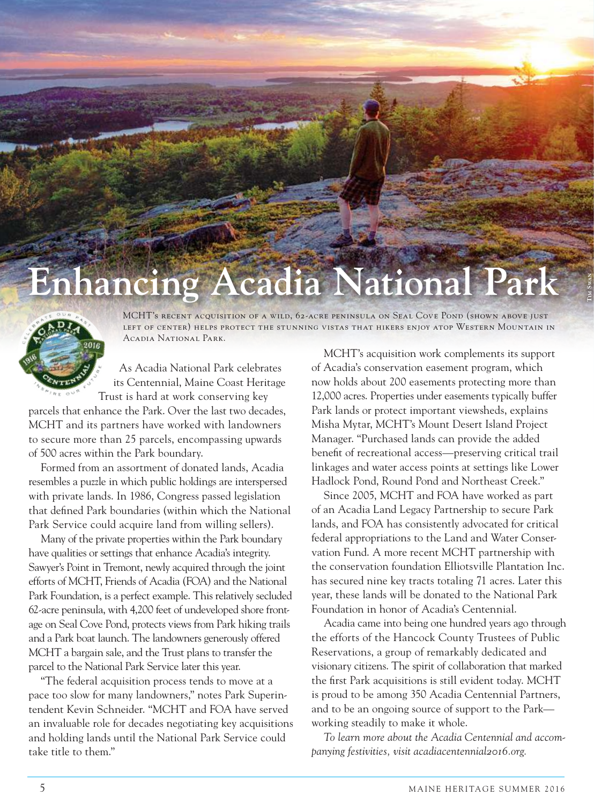

MCHT's recent acquisition of a wild, 62-acre peninsula on Seal Cove Pond (shown above just left of center) helps protect the stunning vistas that hikers enjoy atop Western Mountain in Acadia National Park.

 As Acadia National Park celebrates its Centennial, Maine Coast Heritage Trust is hard at work conserving key

parcels that enhance the Park. Over the last two decades, MCHT and its partners have worked with landowners to secure more than 25 parcels, encompassing upwards of 500 acres within the Park boundary.

Formed from an assortment of donated lands, Acadia resembles a puzzle in which public holdings are interspersed with private lands. In 1986, Congress passed legislation that defined Park boundaries (within which the National Park Service could acquire land from willing sellers).

Many of the private properties within the Park boundary have qualities or settings that enhance Acadia's integrity. Sawyer's Point in Tremont, newly acquired through the joint efforts of MCHT, Friends of Acadia (FOA) and the National Park Foundation, is a perfect example. This relatively secluded 62-acre peninsula, with 4,200 feet of undeveloped shore frontage on Seal Cove Pond, protects views from Park hiking trails and a Park boat launch. The landowners generously offered MCHT a bargain sale, and the Trust plans to transfer the parcel to the National Park Service later this year. **Enhance the complete to the secure of the title to the secure them. The complete to the secure time in the secure time in the secure time is the secure to the computation of the secure time is the secure to the secure the** 

"The federal acquisition process tends to move at a pace too slow for many landowners," notes Park Superintendent Kevin Schneider. "MCHT and FOA have served an invaluable role for decades negotiating key acquisitions and holding lands until the National Park Service could

MCHT's acquisition work complements its support of Acadia's conservation easement program, which now holds about 200 easements protecting more than 12,000 acres. Properties under easements typically buffer Park lands or protect important viewsheds, explains Misha Mytar, MCHT's Mount Desert Island Project Manager. "Purchased lands can provide the added benefit of recreational access—preserving critical trail linkages and water access points at settings like Lower Hadlock Pond, Round Pond and Northeast Creek."

Since 2005, MCHT and FOA have worked as part of an Acadia Land Legacy Partnership to secure Park lands, and FOA has consistently advocated for critical federal appropriations to the Land and Water Conservation Fund. A more recent MCHT partnership with the conservation foundation Elliotsville Plantation Inc. has secured nine key tracts totaling 71 acres. Later this year, these lands will be donated to the National Park Foundation in honor of Acadia's Centennial.

Acadia came into being one hundred years ago through the efforts of the Hancock County Trustees of Public Reservations, a group of remarkably dedicated and visionary citizens. The spirit of collaboration that marked the first Park acquisitions is still evident today. MCHT is proud to be among 350 Acadia Centennial Partners, and to be an ongoing source of support to the Park working steadily to make it whole.

*To learn more about the Acadia Centennial and accompanying festivities, visit acadiacentennial2016.org.*